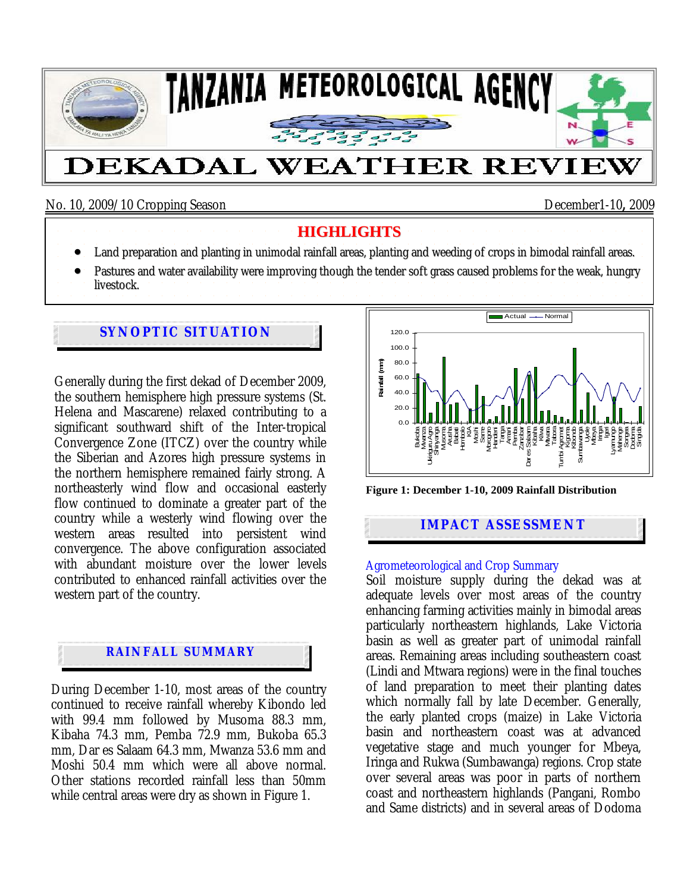

No. 10, 2009/10 Cropping Season December1-10**,** 2009

### **HIGHLIGHTS**

- Land preparation and planting in unimodal rainfall areas, planting and weeding of crops in bimodal rainfall areas.
- Pastures and water availability were improving though the tender soft grass caused problems for the weak, hungry
- livestock.

# **SYNOPTIC SITUATION**

Generally during the first dekad of December 2009, the southern hemisphere high pressure systems (St. Helena and Mascarene) relaxed contributing to a significant southward shift of the Inter-tropical Convergence Zone (ITCZ) over the country while the Siberian and Azores high pressure systems in the northern hemisphere remained fairly strong. A northeasterly wind flow and occasional easterly flow continued to dominate a greater part of the country while a westerly wind flowing over the western areas resulted into persistent wind convergence. The above configuration associated with abundant moisture over the lower levels contributed to enhanced rainfall activities over the western part of the country.



During December 1-10, most areas of the country continued to receive rainfall whereby Kibondo led with 99.4 mm followed by Musoma 88.3 mm, Kibaha 74.3 mm, Pemba 72.9 mm, Bukoba 65.3 mm, Dar es Salaam 64.3 mm, Mwanza 53.6 mm and Moshi 50.4 mm which were all above normal. Other stations recorded rainfall less than 50mm while central areas were dry as shown in Figure 1.



**Figure 1: December 1-10, 2009 Rainfall Distribution** 

## **IMPACT ASSESSMENT**

#### Agrometeorological and Crop Summary

Soil moisture supply during the dekad was at adequate levels over most areas of the country enhancing farming activities mainly in bimodal areas particularly northeastern highlands, Lake Victoria basin as well as greater part of unimodal rainfall areas. Remaining areas including southeastern coast (Lindi and Mtwara regions) were in the final touches of land preparation to meet their planting dates which normally fall by late December. Generally, the early planted crops (maize) in Lake Victoria basin and northeastern coast was at advanced vegetative stage and much younger for Mbeya, Iringa and Rukwa (Sumbawanga) regions. Crop state over several areas was poor in parts of northern coast and northeastern highlands (Pangani, Rombo and Same districts) and in several areas of Dodoma